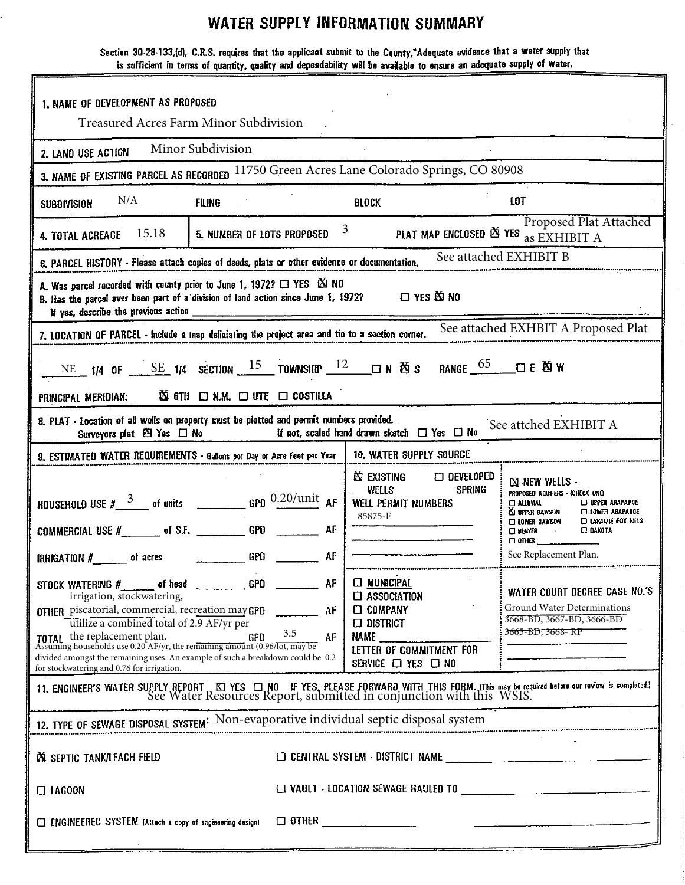## **WATER SUPPLY INFORMATION SUMMARY**

Section 30-28-133,(d), C.R.S. requires that the applicant submit to the County,"Adequate evidence that a water supply that is sufficient in terms of quantity, quality and dependability will be available to ensure an adequate supply of water.

| 1. NAME OF DEVELOPMENT AS PROPOSED<br>Treasured Acres Farm Minor Subdivision                                                                                                                                                                                                                                                                                                                                                                                                                           |                       |                                                                                                                                               |                                                                                                                                                                                                                                                                                        |  |
|--------------------------------------------------------------------------------------------------------------------------------------------------------------------------------------------------------------------------------------------------------------------------------------------------------------------------------------------------------------------------------------------------------------------------------------------------------------------------------------------------------|-----------------------|-----------------------------------------------------------------------------------------------------------------------------------------------|----------------------------------------------------------------------------------------------------------------------------------------------------------------------------------------------------------------------------------------------------------------------------------------|--|
| Minor Subdivision                                                                                                                                                                                                                                                                                                                                                                                                                                                                                      |                       |                                                                                                                                               |                                                                                                                                                                                                                                                                                        |  |
| 2. LAND USE ACTION                                                                                                                                                                                                                                                                                                                                                                                                                                                                                     |                       |                                                                                                                                               |                                                                                                                                                                                                                                                                                        |  |
| 3. NAME OF EXISTING PARCEL AS RECORDED 11750 Green Acres Lane Colorado Springs, CO 80908                                                                                                                                                                                                                                                                                                                                                                                                               |                       |                                                                                                                                               |                                                                                                                                                                                                                                                                                        |  |
| N/A<br><b>FILING</b><br><b>SUBDIVISION</b>                                                                                                                                                                                                                                                                                                                                                                                                                                                             |                       | <b>BLOCK</b>                                                                                                                                  | <b>LOT</b>                                                                                                                                                                                                                                                                             |  |
| 15.18<br>5. NUMBER OF LOTS PROPOSED<br>4. TOTAL ACREAGE                                                                                                                                                                                                                                                                                                                                                                                                                                                |                       | $3 \quad \text{ }$<br>PLAT MAP ENCLOSED X YES as EXHIBIT A                                                                                    | Proposed Plat Attached                                                                                                                                                                                                                                                                 |  |
| 6. PARCEL HISTORY - Please attach copies of deeds, plats or other evidence or documentation.                                                                                                                                                                                                                                                                                                                                                                                                           |                       |                                                                                                                                               | See attached EXHIBIT B                                                                                                                                                                                                                                                                 |  |
| A. Was parcel recorded with county prior to June 1, 1972? $\Box$ YES $\boxtimes$ NO<br>B. Has the parcel ever been part of a division of land action since June 1, 1972? $\Box$ YES $\boxtimes$ NO<br>If yes, describe the previous action _____________                                                                                                                                                                                                                                               |                       |                                                                                                                                               |                                                                                                                                                                                                                                                                                        |  |
| 7. LOCATION OF PARCEL - include a map deliniating the project area and tie to a section corner.                                                                                                                                                                                                                                                                                                                                                                                                        |                       |                                                                                                                                               | See attached EXHBIT A Proposed Plat                                                                                                                                                                                                                                                    |  |
| $\mathbb{\tilde{N}}$ 6TH $\Box$ N.M. $\Box$ UTE $\Box$ COSTILLA<br>PRINCIPAL MERIDIAN:                                                                                                                                                                                                                                                                                                                                                                                                                 |                       |                                                                                                                                               |                                                                                                                                                                                                                                                                                        |  |
| 8. PLAT - Location of all wells on property must be plotted and permit numbers provided.<br>Surveyors plat $\boxtimes$ Yes $\Box$ No                                                                                                                                                                                                                                                                                                                                                                   |                       | If not, scaled hand drawn sketch $\Box$ Yes $\Box$ No                                                                                         | See attched EXHIBIT A                                                                                                                                                                                                                                                                  |  |
| 9. ESTIMATED WATER REQUIREMENTS - Gallons per Day or Acre Feet per Year                                                                                                                                                                                                                                                                                                                                                                                                                                |                       | 10. WATER SUPPLY SOURCE                                                                                                                       |                                                                                                                                                                                                                                                                                        |  |
| HOUSEHOLD USE $\# \frac{3}{2}$ of units $\frac{0.20}{\mu}$ GPD $\frac{0.20}{\mu}$ AF<br>COMMERCIAL USE #__________ of S.F. ______________ GPD ____________ AF<br>IRRIGATION $#$ . of acres                                                                                                                                                                                                                                                                                                             | <b>AF</b>             | $\square$ developed<br><b>X) Existing</b><br><b>WELLS</b><br><b>SPRING</b><br><b>WELL PERMIT NUMBERS</b><br>85875-F                           | <b>NEW WELLS -</b><br>PROPOSED AQUIFERS - (CHECK ONE)<br><b>CI ALLUVIAL</b><br><b>CJ UPPER ARAPAHOE</b><br>AS UPPER DAWSON<br><b>CI LOWER ARAPAROE</b><br><b>CI LARAMIE FOX HILLS</b><br><b>IT LOWER DAWSON</b><br><b>CJ DAKOTA</b><br>口映你<br>$\square$ other<br>See Replacement Plan. |  |
| STOCK WATERING # of head ________________GPD<br>irrigation, stockwatering,<br><b>OTHER</b> piscatorial, commercial, recreation may GPD<br>utilize a combined total of 2.9 AF/yr per<br>GPD<br><b>TOTAL</b> the replacement plan.<br><b>TOTAL</b> the replacement plan. <b>GPD</b> $3.5$<br>Assuming households use 0.20 AF/yr, the remaining amount (0.96/lot, may be<br>divided amongst the remaining uses. An example of such a breakdown could be 0.2<br>for stockwatering and 0.76 for irrigation. | AF<br>AF<br>3.5<br>AF | <b>CI MUNICIPAL</b><br>$\Box$ ASSOCIATION<br><b>COMPANY</b><br>$\square$ district<br>NAME<br>LETTER OF COMMITMENT FOR<br>SERVICE ON YES ON NO | WATER COURT DECREE CASE NO.'S<br>Ground Water Determinations<br>3668-BD, 3667-BD, 3666-BD<br>3665-BD; 3668-RP                                                                                                                                                                          |  |
| 11. ENGINEER'S WATER SUPPLY REPORT ENGERT ON THE YES, PLEASE FORWARD WITH THIS FORM. (This may be required before our review is completed.)<br>See Water Resources Report, submitted in conjunction with this WSIS.                                                                                                                                                                                                                                                                                    |                       |                                                                                                                                               |                                                                                                                                                                                                                                                                                        |  |
| 12. TYPE OF SEWAGE DISPOSAL SYSTEM: Non-evaporative individual septic disposal system                                                                                                                                                                                                                                                                                                                                                                                                                  |                       |                                                                                                                                               |                                                                                                                                                                                                                                                                                        |  |
| <b>N SEPTIC TANK/LEACH FIELD</b>                                                                                                                                                                                                                                                                                                                                                                                                                                                                       |                       |                                                                                                                                               |                                                                                                                                                                                                                                                                                        |  |
| $\Box$ LAGOON                                                                                                                                                                                                                                                                                                                                                                                                                                                                                          |                       |                                                                                                                                               |                                                                                                                                                                                                                                                                                        |  |
| ENGINEERED SYSTEM (Attach a copy of engineering design)                                                                                                                                                                                                                                                                                                                                                                                                                                                |                       |                                                                                                                                               |                                                                                                                                                                                                                                                                                        |  |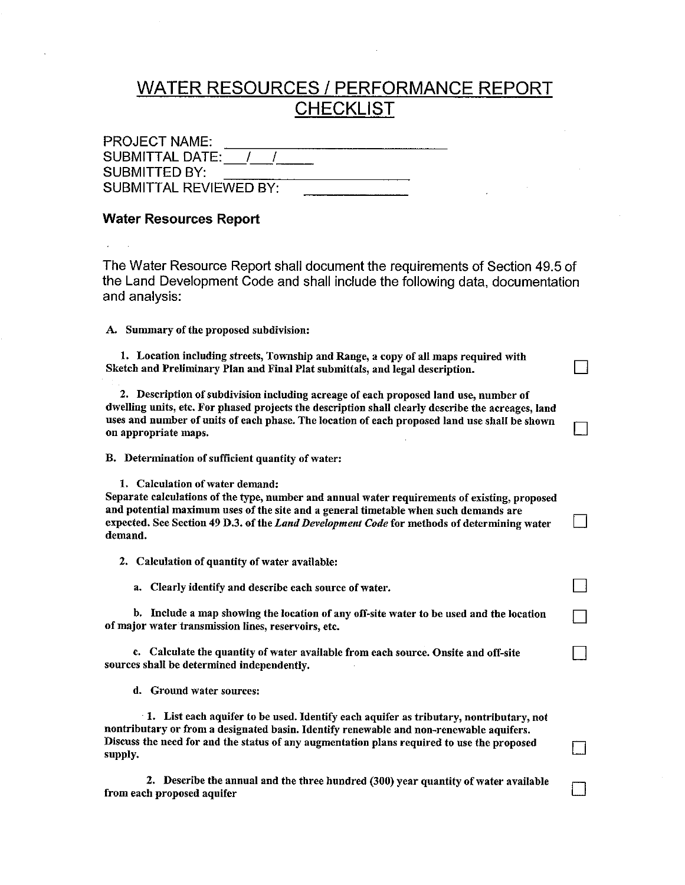## **WATER RESOURCES / PERFORMANCE REPORT CHECKLIST**

| <b>PROJECT NAME:</b>          |  |  |
|-------------------------------|--|--|
| <b>SUBMITTAL DATE:</b>        |  |  |
| <b>SUBMITTED BY:</b>          |  |  |
| <b>SUBMITTAL REVIEWED BY:</b> |  |  |

## **Water Resources Report**

The Water Resource Report shall document the requirements of Section 49.5 of the Land Development Code and shall include the following data, documentation and analysis:

A. Summary of the proposed subdivision:

1. Location including streets, Township and Range, a copy of all maps required with Sketch and Preliminary Plan and Final Plat submittals, and legal description.

2. Description of subdivision including acreage of each proposed land use, number of dwelling units, etc. For phased projects the description shall clearly describe the acreages, land uses and number of units of each phase. The location of each proposed land use shall be shown on appropriate maps.

B. Determination of sufficient quantity of water:

1. Calculation of water demand:

Separate calculations of the type, number and annual water requirements of existing, proposed and potential maximum uses of the site and a general timetable when such demands are expected. See Section 49 D.3. of the Land Development Code for methods of determining water demand.

 $\Box$ 

 $\Box$ 

 $\mathsf{L}$ 

П

2. Calculation of quantity of water available:

a. Clearly identify and describe each source of water.

b. Include a map showing the location of any off-site water to be used and the location of major water transmission lines, reservoirs, etc.

c. Calculate the quantity of water available from each source. Onsite and off-site sources shall be determined independently.

d. Ground water sources:

1. List each aquifer to be used. Identify each aquifer as tributary, nontributary, not nontributary or from a designated basin. Identify renewable and non-renewable aquifers. Discuss the need for and the status of any augmentation plans required to use the proposed supply.

2. Describe the annual and the three hundred (300) year quantity of water available from each proposed aquifer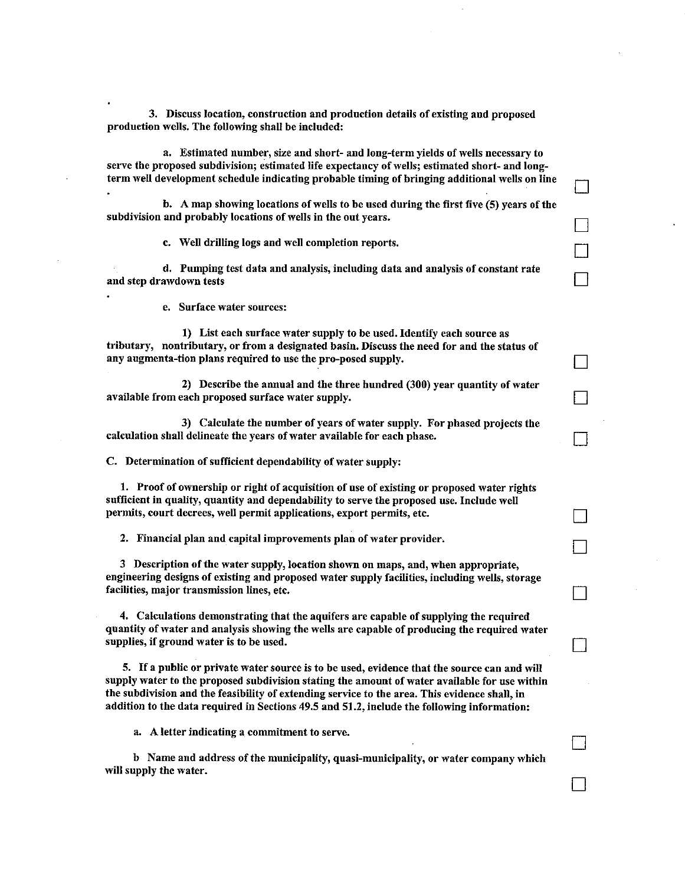3. Discuss location, construction and production details of existing and proposed production wells. The following shall be included:

a. Estimated number, size and short- and long-term vields of wells necessary to serve the proposed subdivision; estimated life expectancy of wells; estimated short- and longterm well development schedule indicating probable timing of bringing additional wells on line

b. A map showing locations of wells to be used during the first five (5) years of the subdivision and probably locations of wells in the out years.

c. Well drilling logs and well completion reports.

d. Pumping test data and analysis, including data and analysis of constant rate and step drawdown tests

e. Surface water sources:

1) List each surface water supply to be used. Identify each source as tributary, nontributary, or from a designated basin. Discuss the need for and the status of any augmenta-tion plans required to use the pro-posed supply.

2) Describe the annual and the three hundred (300) vear quantity of water available from each proposed surface water supply.

3) Calculate the number of years of water supply. For phased projects the calculation shall delineate the years of water available for each phase.

C. Determination of sufficient dependability of water supply:

1. Proof of ownership or right of acquisition of use of existing or proposed water rights sufficient in quality, quantity and dependability to serve the proposed use. Include well permits, court decrees, well permit applications, export permits, etc.

2. Financial plan and capital improvements plan of water provider.

3 Description of the water supply, location shown on maps, and, when appropriate, engineering designs of existing and proposed water supply facilities, including wells, storage facilities, major transmission lines, etc.

4. Calculations demonstrating that the aquifers are capable of supplying the required quantity of water and analysis showing the wells are capable of producing the required water supplies, if ground water is to be used.

5. If a public or private water source is to be used, evidence that the source can and will supply water to the proposed subdivision stating the amount of water available for use within the subdivision and the feasibility of extending service to the area. This evidence shall, in addition to the data required in Sections 49.5 and 51.2, include the following information;

a. A letter indicating a commitment to serve.

b Name and address of the municipality, quasi-municipality, or water company which will supply the water.

 $\mathbb{R}$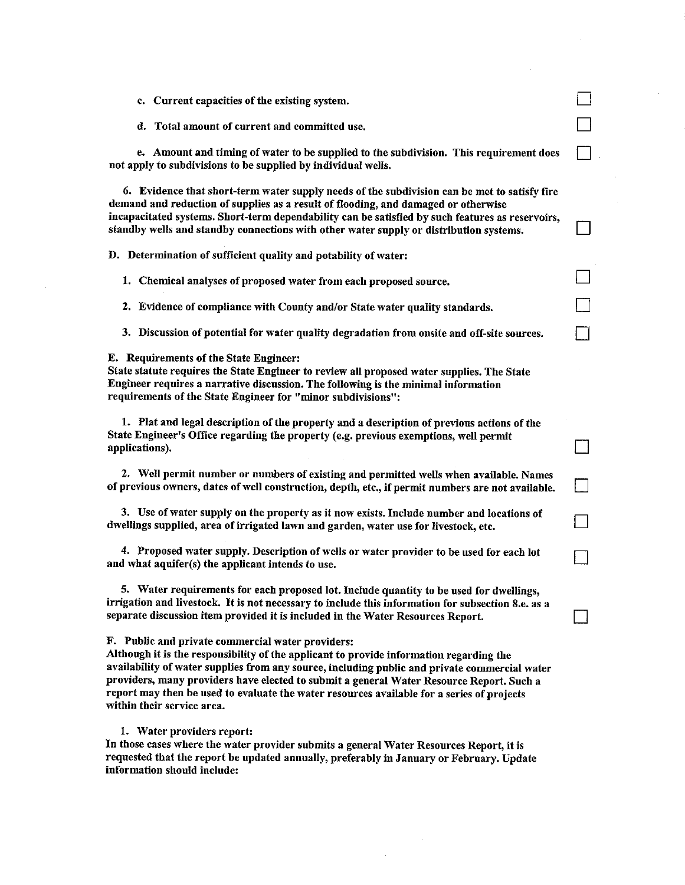| c. Current capacities of the existing system.                                                                                                                                                                                                                                                                                                                                                                                                                         |  |
|-----------------------------------------------------------------------------------------------------------------------------------------------------------------------------------------------------------------------------------------------------------------------------------------------------------------------------------------------------------------------------------------------------------------------------------------------------------------------|--|
| d. Total amount of current and committed use.                                                                                                                                                                                                                                                                                                                                                                                                                         |  |
| e. Amount and timing of water to be supplied to the subdivision. This requirement does<br>not apply to subdivisions to be supplied by individual wells.                                                                                                                                                                                                                                                                                                               |  |
| 6. Evidence that short-term water supply needs of the subdivision can be met to satisfy fire<br>demand and reduction of supplies as a result of flooding, and damaged or otherwise<br>incapacitated systems. Short-term dependability can be satisfied by such features as reservoirs,<br>standby wells and standby connections with other water supply or distribution systems.                                                                                      |  |
| D. Determination of sufficient quality and potability of water:                                                                                                                                                                                                                                                                                                                                                                                                       |  |
| 1. Chemical analyses of proposed water from each proposed source.                                                                                                                                                                                                                                                                                                                                                                                                     |  |
| 2. Evidence of compliance with County and/or State water quality standards.                                                                                                                                                                                                                                                                                                                                                                                           |  |
| 3. Discussion of potential for water quality degradation from onsite and off-site sources.                                                                                                                                                                                                                                                                                                                                                                            |  |
| E. Requirements of the State Engineer:<br>State statute requires the State Engineer to review all proposed water supplies. The State<br>Engineer requires a narrative discussion. The following is the minimal information<br>requirements of the State Engineer for "minor subdivisions":                                                                                                                                                                            |  |
| 1. Plat and legal description of the property and a description of previous actions of the<br>State Engineer's Office regarding the property (e.g. previous exemptions, well permit<br>applications).                                                                                                                                                                                                                                                                 |  |
| 2. Well permit number or numbers of existing and permitted wells when available. Names<br>of previous owners, dates of well construction, depth, etc., if permit numbers are not available.                                                                                                                                                                                                                                                                           |  |
| 3. Use of water supply on the property as it now exists. Include number and locations of<br>dwellings supplied, area of irrigated lawn and garden, water use for livestock, etc.                                                                                                                                                                                                                                                                                      |  |
| 4. Proposed water supply. Description of wells or water provider to be used for each lot<br>and what aquifer(s) the applicant intends to use.                                                                                                                                                                                                                                                                                                                         |  |
| 5. Water requirements for each proposed lot. Include quantity to be used for dwellings,<br>irrigation and livestock. It is not necessary to include this information for subsection 8.e. as a<br>separate discussion item provided it is included in the Water Resources Report.                                                                                                                                                                                      |  |
| F. Public and private commercial water providers:<br>Although it is the responsibility of the applicant to provide information regarding the<br>availability of water supplies from any source, including public and private commercial water<br>providers, many providers have elected to submit a general Water Resource Report. Such a<br>report may then be used to evaluate the water resources available for a series of projects<br>within their service area. |  |
| 1. Water providers report:<br>In those cases where the water provider submits a general Water Resources Report, it is<br>requested that the report be updated annually, preferably in January or February. Update<br>information should include:                                                                                                                                                                                                                      |  |

 $\label{eq:2.1} \begin{split} \frac{1}{2} \sum_{i=1}^n \frac{1}{2} \left( \frac{1}{2} \sum_{i=1}^n \frac{1}{2} \right) \left( \frac{1}{2} \sum_{i=1}^n \frac{1}{2} \right) \left( \frac{1}{2} \sum_{i=1}^n \frac{1}{2} \right) \left( \frac{1}{2} \sum_{i=1}^n \frac{1}{2} \right) \left( \frac{1}{2} \sum_{i=1}^n \frac{1}{2} \right) \left( \frac{1}{2} \sum_{i=1}^n \frac{1}{2} \right) \left( \frac{1}{2$ 

 $\label{eq:2.1} \frac{1}{\sqrt{2\pi}}\int_{0}^{\pi} \frac{1}{\sqrt{2\pi}}\left(\frac{1}{\sqrt{2\pi}}\right)^{2\pi} \frac{1}{\sqrt{2\pi}}\frac{1}{\sqrt{2\pi}}\int_{0}^{\pi} \frac{1}{\sqrt{2\pi}}\frac{1}{\sqrt{2\pi}}\frac{1}{\sqrt{2\pi}}\frac{1}{\sqrt{2\pi}}\frac{1}{\sqrt{2\pi}}\frac{1}{\sqrt{2\pi}}\frac{1}{\sqrt{2\pi}}\frac{1}{\sqrt{2\pi}}\frac{1}{\sqrt{2\pi}}\frac{1}{\sqrt{2\pi}}\frac{$ 

 $\sim$ 

 $\sim$ 

 $\mathcal{A}$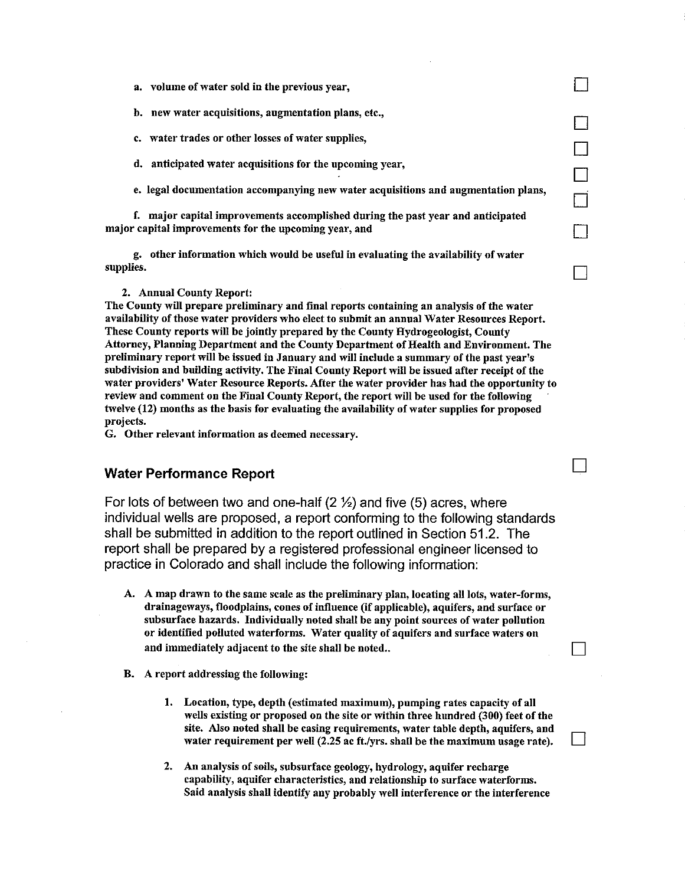- a. volume of water sold in the previous year,
- $<sub>b</sub>$ </sub> new water acquisitions, augmentation plans, etc.,
- water trades or other losses of water supplies, c.
- d. anticipated water acquisitions for the upcoming year,
- e. legal documentation accompanying new water acquisitions and augmentation plans,

 $\Box$ 

 $\overline{\Box}$ 

 $\Box$ 

П

 $\mathbf{I}$ 

f. major capital improvements accomplished during the past year and anticipated major capital improvements for the upcoming year, and

g. other information which would be useful in evaluating the availability of water supplies.

## 2. Annual County Report:

The County will prepare preliminary and final reports containing an analysis of the water availability of those water providers who elect to submit an annual Water Resources Report. These County reports will be jointly prepared by the County Hydrogeologist, County Attorney, Planning Department and the County Department of Health and Environment. The preliminary report will be issued in January and will include a summary of the past year's subdivision and building activity. The Final County Report will be issued after receipt of the water providers' Water Resource Reports. After the water provider has had the opportunity to review and comment on the Final County Report, the report will be used for the following twelve (12) months as the basis for evaluating the availability of water supplies for proposed projects.

G. Other relevant information as deemed necessary.

## **Water Performance Report**

For lots of between two and one-half  $(2 \frac{1}{2})$  and five  $(5)$  acres, where individual wells are proposed, a report conforming to the following standards shall be submitted in addition to the report outlined in Section 51.2. The report shall be prepared by a registered professional engineer licensed to practice in Colorado and shall include the following information:

- A. A map drawn to the same scale as the preliminary plan, locating all lots, water-forms, drainageways, floodplains, cones of influence (if applicable), aquifers, and surface or subsurface hazards. Individually noted shall be any point sources of water pollution or identified polluted waterforms. Water quality of aquifers and surface waters on and immediately adjacent to the site shall be noted..
- **B.** A report addressing the following:
	- 1. Location, type, depth (estimated maximum), pumping rates capacity of all wells existing or proposed on the site or within three hundred (300) feet of the site. Also noted shall be casing requirements, water table depth, aquifers, and water requirement per well (2.25 ac ft./yrs. shall be the maximum usage rate).
	- 2. An analysis of soils, subsurface geology, hydrology, aquifer recharge capability, aquifer characteristics, and relationship to surface waterforms. Said analysis shall identify any probably well interference or the interference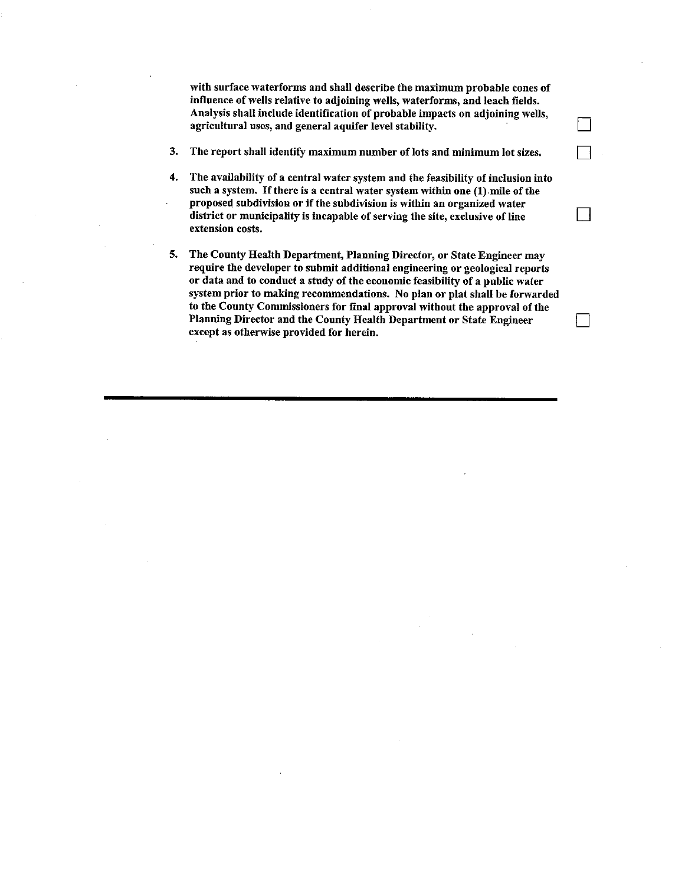with surface waterforms and shall describe the maximum probable cones of influence of wells relative to adjoining wells, waterforms, and leach fields. Analysis shall include identification of probable impacts on adjoining wells, agricultural uses, and general aquifer level stability.

- 3. The report shall identify maximum number of lots and minimum lot sizes.
- $4.$ The availability of a central water system and the feasibility of inclusion into such a system. If there is a central water system within one (1) mile of the proposed subdivision or if the subdivision is within an organized water district or municipality is incapable of serving the site, exclusive of line extension costs.

 $\mathsf{L}$ 

5. The County Health Department, Planning Director, or State Engineer may require the developer to submit additional engineering or geological reports or data and to conduct a study of the economic feasibility of a public water system prior to making recommendations. No plan or plat shall be forwarded to the County Commissioners for final approval without the approval of the Planning Director and the County Health Department or State Engineer except as otherwise provided for herein.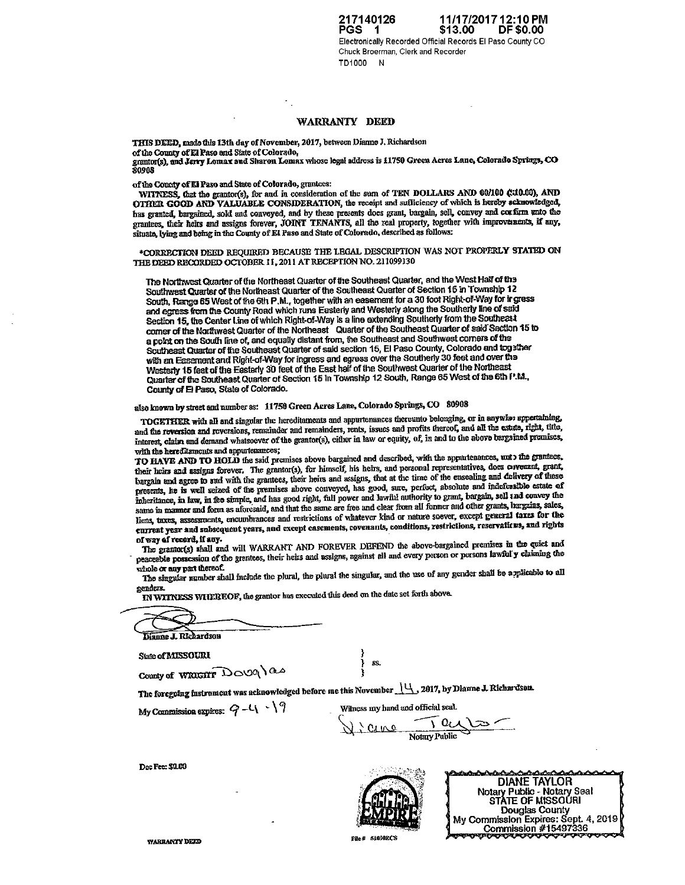217140126 11/17/2017 12:10 PM PGS 1 \$13.00 **DF \$0.00** Electronically Recorded Official Records El Paso County CO Chuck Broerman, Clerk and Recorder TD1000 N

### WARRANTY DEED

THIS DEED, made this 13th day of November, 2017, between Dianne J. Richardson

grantor(s), and Jerry Lomax and Sharon Lomax whose legal address is 11750 Green Acres Lane, Colorado Springs, CO<br>80908

of the Conaty of El Paso and State of Colorado, grantees:

WITNESS, that the grantor(s), for and in consideration of the sum of TEN DOLLARS AND 00/100 CU0.00), AND OTHER GOOD AND VALUABLE CONSIDERATION, the receipt and sufficiency of which is hereby schnowledged, has granted, bargained, sold and conveyed, and by these presents does grant, bargain, sell, convey and corfirm unto the granitees, their heirs and assigns forever, JOINT TENANTS, all the real property, together with improvements, if any, situate, lying and being in the County of El Paso and State of Colorado, described as follows:

\*CORRECTION DEED REQUIRED BECAUSE THE LEGAL DESCRIPTION WAS NOT PROPERLY STATED ON THE DEED RECORDED OCTOBER 11, 2011 AT RECEPTION NO. 211099130

The Northwest Quarter of the Northeast Quarter of the Southeast Quarter, and the West Half of the Southwest Quarter of the Northeast Quarter of the Southeast Quarter of Section 15 in Township 12 South, Range 65 West of the 6th P.M., together with an easement for a 30 foot Right-of-Way for ir gress and egress from the County Road which runs Easterly and Westerly along the Southerly line of said Section 15, the Center Line of which Right-of-Way is a line extending Southerly from the Southeast<br>corner of the Northwest Quarter of the Northeast Quarter of the Southeast Quarter of said Section 15 to a point on the South line of, and equally distant from, the Southeast and Southwest corners of the Southeast Quarter of the Southeast Quarter of said section 15, El Paso County, Colorado and together with an Easement and Right-of-Way for ingress and egress over the Southerly 30 feet and over the Westerly 15 feet of the Easterly 30 feet of the East half of the Southwest Quarter of the Northeast Quarter of the Southeast Quarter of Section 15 in Township 12 South, Range 65 West of the 6th P.M., County of El Paso, State of Colorado.

## also known by street and number as: 11750 Green Acres Lane, Colorado Springs, CO 80908

TOGETHER with all and singular the hereditaments and appurtenances thereunto belonging, or in anywist appertaining, and the reversion and reversions, remainder and remainders, rents, issues and profits thereof, and all the estute, right, title, interest, claim and demand whatsoever of the grantor(s), either in law or equity, of, in and to the above bargained premises, with the hereditaments and appurtenances;

TO HAVE AND TO HOLD the said premises above bargained and described, with the appartenances, unto the grantees, their heirs and assigns forever. The grantor(s), for himself, his heirs, and personal representatives, does covenant, grant, bargain and agree to and with the grantees, their heirs and assigns, that at the time of the ensealing and delivery of these presents, he is well seized of the premises above conveyed, has good, sure, perfect, absolute and indefensible estate of inheritance, in law, in fee simple, and has good right, full power and lawful authority to grant, bargain, sell and convey the same in manner and form as aforesaid, and that the same are free and clear from all former and other grants, bargains, sales, liens, taxes, assessments, encumbrances and restrictions of whatever kind or nature soever, except general taxes for the current year and subsequent years, and except casements, covenants, conditions, restrictions, reservations, and rights of way of record, if any.

The grantor(s) shall and will WARRANT AND FOREVER DEFEND the above-bargained premises in the quiet and peaceable possession of the grantees, their heirs and assigns, against all and every person or persons lawful y claiming the whole  $\alpha$  any part thereof.

The singular number shall include the plural, the plural the singular, and the use of any gender shall be applicable to all gender<mark>s.</mark>

IN WITNESS WHEREOF, the grantor has executed this deed on the date set forth above.

Dianne J. Richardson

State of MISSOURI

County of WRIGHT DOUG ) as

The foregoing instrument was acknowledged before me this November 14, 2017, by Diarme J. Richardson.

My Commission expires:  $Q - L$   $\backslash$   $\gamma$ 

Wilness my hand and official seal. Notary Public Cene



**DIANE TAYLOR** Notary Public - Notary Seal<br>STATE OF MISSOURI Douglas County My Commission Expires: Sept. 4, 2019 Commission #15497336

Doc Fee: \$0.00

**WARRANTY DEED** 

**File # 51090ECS** 

**RS**